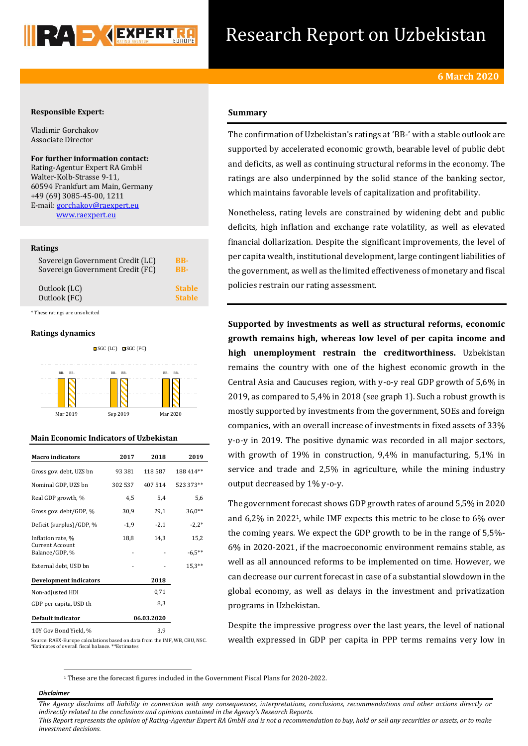

# Research Report on Uzbekistan

# **Responsible Expert:**

Vladimir Gorchakov Associate Director

**For further information contact:** Rating-Agentur Expert RA GmbH Walter-Kolb-Strasse 9-11, 60594 Frankfurt am Main, Germany +49 (69) 3085-45-00, 1211 E-mail[: gorchakov@raexpert.eu](mailto:gorchakov@raexpert.eu) [www.raexpert.eu](http://raexpert.eu/)

## **Ratings**

| Sovereign Government Credit (LC) | BB-           |
|----------------------------------|---------------|
| Sovereign Government Credit (FC) | <b>BB-</b>    |
| Outlook (LC)                     | <b>Stable</b> |
| Outlook (FC)                     | <b>Stable</b> |

\* These ratings are unsolicited

# **Ratings dynamics**



# **Main Economic Indicators of Uzbekistan**

| <b>Macro</b> indicators                  | 2017       | 2018    | 2019      |
|------------------------------------------|------------|---------|-----------|
| Gross gov. debt, UZS bn                  | 93 381     | 118 587 | 188 414** |
| Nominal GDP, UZS bn                      | 302 537    | 407 514 | 523 373** |
| Real GDP growth, %                       | 4,5        | 5,4     | 5,6       |
| Gross gov. debt/GDP, %                   | 30,9       | 29,1    | $36.0**$  |
| Deficit (surplus)/GDP, %                 | $-1,9$     | $-2,1$  | $-2,2*$   |
| Inflation rate, %                        | 18,8       | 14,3    | 15,2      |
| <b>Current Account</b><br>Balance/GDP, % |            |         | $-6,5**$  |
| External debt, USD bn                    |            |         | $15.3**$  |
| <b>Development indicators</b>            |            | 2018    |           |
| Non-adjusted HDI                         |            | 0,71    |           |
| GDP per capita, USD th                   | 8,3        |         |           |
| Default indicator                        | 06.03.2020 |         |           |
| 10Y Gov Bond Yield, %                    | 3,9        |         |           |

# **Summary**

The confirmation of Uzbekistan's ratings at 'BB-' with a stable outlook are supported by accelerated economic growth, bearable level of public debt and deficits, as well as continuing structural reforms in the economy. The ratings are also underpinned by the solid stance of the banking sector, which maintains favorable levels of capitalization and profitability.

Nonetheless, rating levels are constrained by widening debt and public deficits, high inflation and exchange rate volatility, as well as elevated financial dollarization. Despite the significant improvements, the level of per capita wealth, institutional development, large contingent liabilities of the government, as well as the limited effectiveness of monetary and fiscal policies restrain our rating assessment.

**Supported by investments as well as structural reforms, economic growth remains high, whereas low level of per capita income and high unemployment restrain the creditworthiness.** Uzbekistan remains the country with one of the highest economic growth in the Central Asia and Caucuses region, with y-o-y real GDP growth of 5,6% in 2019, as compared to 5,4% in 2018 (see graph 1). Such a robust growth is mostly supported by investments from the government, SOEs and foreign companies, with an overall increase of investments in fixed assets of 33% y-o-y in 2019. The positive dynamic was recorded in all major sectors, with growth of 19% in construction, 9,4% in manufacturing, 5,1% in service and trade and 2,5% in agriculture, while the mining industry output decreased by 1% y-o-y.

The government forecast shows GDP growth rates of around 5,5% in 2020 and 6,2% in 20221, while IMF expects this metric to be close to 6% over the coming years. We expect the GDP growth to be in the range of 5,5%- 6% in 2020-2021, if the macroeconomic environment remains stable, as well as all announced reforms to be implemented on time. However, we can decrease our current forecast in case of a substantial slowdown in the global economy, as well as delays in the investment and privatization programs in Uzbekistan.

Despite the impressive progress over the last years, the level of national wealth expressed in GDP per capita in PPP terms remains very low in

Source: RAEX-Europe calculations based on data from the IMF, WB, CBU, NSC. \*Estimates of overall fiscal balance. \*\*Estimates

<sup>1</sup> These are the forecast figures included in the Government Fiscal Plans for 2020-2022.

## *Disclaimer*

1

*The Agency disclaims all liability in connection with any consequences, interpretations, conclusions, recommendations and other actions directly or indirectly related to the conclusions and opinions contained in the Agency's Research Reports.*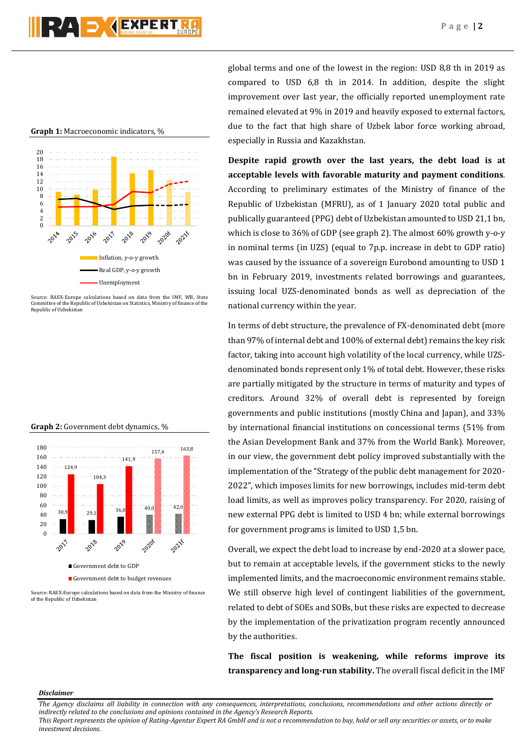**Graph 1:** Macroeconomic indicators, %



Source: RAEX-Europe calculations based on data from the IMF, WB, State Committee of the Republic of Uzbekistan on Statistics, Ministry of finance of the Republic of Uzbekistan

#### **Graph 2:** Government debt dynamics, %



Source: RAEX-Europe calculations based on data from the Ministry of finance of the Republic of Uzbekistan

global terms and one of the lowest in the region: USD 8,8 th in 2019 as compared to USD 6,8 th in 2014. In addition, despite the slight improvement over last year, the officially reported unemployment rate remained elevated at 9% in 2019 and heavily exposed to external factors, due to the fact that high share of Uzbek labor force working abroad, especially in Russia and Kazakhstan.

**Despite rapid growth over the last years, the debt load is at acceptable levels with favorable maturity and payment conditions**. According to preliminary estimates of the Ministry of finance of the Republic of Uzbekistan (MFRU), as of 1 January 2020 total public and publically guaranteed (PPG) debt of Uzbekistan amounted to USD 21,1 bn, which is close to 36% of GDP (see graph 2). The almost 60% growth y-o-y in nominal terms (in UZS) (equal to 7p.p. increase in debt to GDP ratio) was caused by the issuance of a sovereign Eurobond amounting to USD 1 bn in February 2019, investments related borrowings and guarantees, issuing local UZS-denominated bonds as well as depreciation of the national currency within the year.

In terms of debt structure, the prevalence of FX-denominated debt (more than 97% of internal debt and 100% of external debt) remains the key risk factor, taking into account high volatility of the local currency, while UZSdenominated bonds represent only 1% of total debt. However, these risks are partially mitigated by the structure in terms of maturity and types of creditors. Around 32% of overall debt is represented by foreign governments and public institutions (mostly China and Japan), and 33% by international financial institutions on concessional terms (51% from the Asian Development Bank and 37% from the World Bank). Moreover, in our view, the government debt policy improved substantially with the implementation of the "Strategy of the public debt management for 2020- 2022", which imposes limits for new borrowings, includes mid-term debt load limits, as well as improves policy transparency. For 2020, raising of new external PPG debt is limited to USD 4 bn; while external borrowings for government programs is limited to USD 1,5 bn.

Overall, we expect the debt load to increase by end-2020 at a slower pace, but to remain at acceptable levels, if the government sticks to the newly implemented limits, and the macroeconomic environment remains stable. We still observe high level of contingent liabilities of the government, related to debt of SOEs and SOBs, but these risks are expected to decrease by the implementation of the privatization program recently announced by the authorities.

**The fiscal position is weakening, while reforms improve its transparency and long-run stability.** The overall fiscal deficit in the IMF

## *Disclaimer*

*The Agency disclaims all liability in connection with any consequences, interpretations, conclusions, recommendations and other actions directly or indirectly related to the conclusions and opinions contained in the Agency's Research Reports.*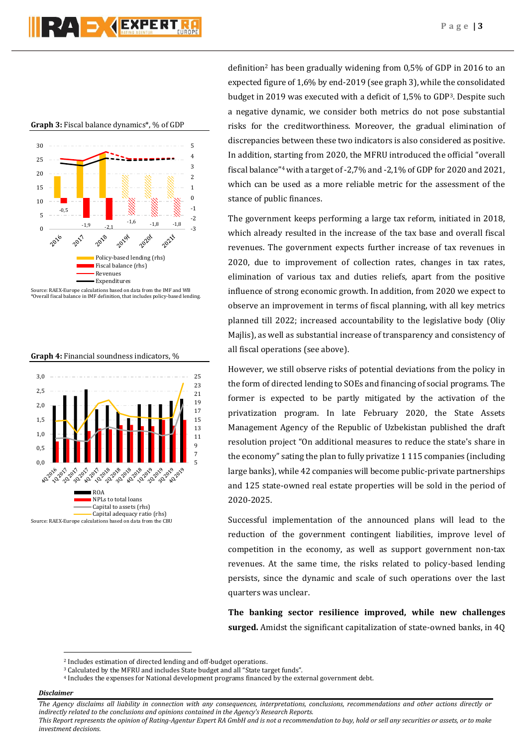**Graph 3:** Fiscal balance dynamics\*, % of GDP



Source: RAEX-Europe calculations based on data from the IMF and WB \*Overall fiscal balance in IMF definition, that includes policy-based lending.

**Graph 4:** Financial soundness indicators, %



definition<sup>2</sup> has been gradually widening from 0,5% of GDP in 2016 to an expected figure of 1,6% by end-2019 (see graph 3), while the consolidated budget in 2019 was executed with a deficit of 1,5% to GDP3. Despite such a negative dynamic, we consider both metrics do not pose substantial risks for the creditworthiness. Moreover, the gradual elimination of discrepancies between these two indicators is also considered as positive. In addition, starting from 2020, the MFRU introduced the official "overall fiscal balance"<sup>4</sup> with a target of -2,7% and -2,1% of GDP for 2020 and 2021, which can be used as a more reliable metric for the assessment of the stance of public finances.

The government keeps performing a large tax reform, initiated in 2018, which already resulted in the increase of the tax base and overall fiscal revenues. The government expects further increase of tax revenues in 2020, due to improvement of collection rates, changes in tax rates, elimination of various tax and duties reliefs, apart from the positive influence of strong economic growth. In addition, from 2020 we expect to observe an improvement in terms of fiscal planning, with all key metrics planned till 2022; increased accountability to the legislative body (Oliy Majlis), as well as substantial increase of transparency and consistency of all fiscal operations (see above).

However, we still observe risks of potential deviations from the policy in the form of directed lending to SOEs and financing of social programs. The former is expected to be partly mitigated by the activation of the privatization program. In late February 2020, the State Assets Management Agency of the Republic of Uzbekistan published the draft resolution project "On additional measures to reduce the state's share in the economy" sating the plan to fully privatize 1 115 companies (including large banks), while 42 companies will become public-private partnerships and 125 state-owned real estate properties will be sold in the period of 2020-2025.

Successful implementation of the announced plans will lead to the reduction of the government contingent liabilities, improve level of competition in the economy, as well as support government non-tax revenues. At the same time, the risks related to policy-based lending persists, since the dynamic and scale of such operations over the last quarters was unclear.

**The banking sector resilience improved, while new challenges surged.** Amidst the significant capitalization of state-owned banks, in 4Q

## *Disclaimer*

1

*The Agency disclaims all liability in connection with any consequences, interpretations, conclusions, recommendations and other actions directly or indirectly related to the conclusions and opinions contained in the Agency's Research Reports.*

<sup>2</sup> Includes estimation of directed lending and off-budget operations.

<sup>&</sup>lt;sup>3</sup> Calculated by the MFRU and includes State budget and all "State target funds".

<sup>4</sup> Includes the expenses for National development programs financed by the external government debt.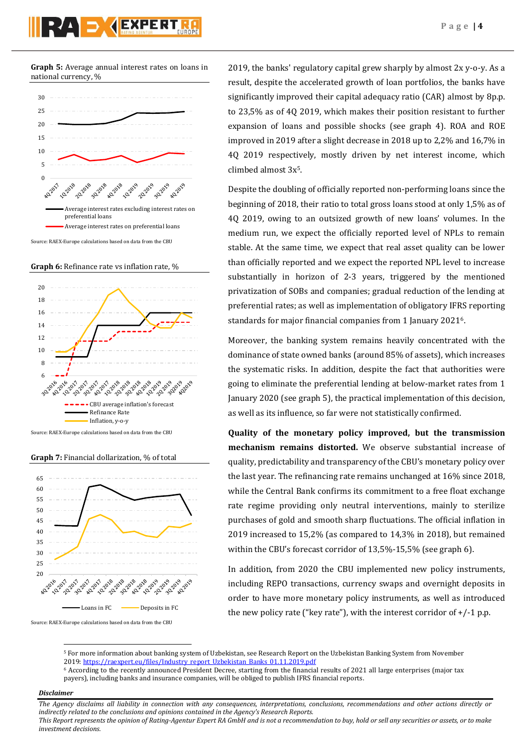**Graph 5:** Average annual interest rates on loans in national currency, %



Source: RAEX-Europe calculations based on data from the CBU

**Graph 6:** Refinance rate vs inflation rate, %



Source: RAEX-Europe calculations based on data from the CBU

**Graph 7:** Financial dollarization, % of total



Source: RAEX-Europe calculations based on data from the CBU

2019, the banks' regulatory capital grew sharply by almost 2x y-o-y. As a result, despite the accelerated growth of loan portfolios, the banks have significantly improved their capital adequacy ratio (CAR) almost by 8p.p. to 23,5% as of 4Q 2019, which makes their position resistant to further expansion of loans and possible shocks (see graph 4). ROA and ROE improved in 2019 after a slight decrease in 2018 up to 2,2% and 16,7% in 4Q 2019 respectively, mostly driven by net interest income, which climbed almost 3x 5.

Despite the doubling of officially reported non-performing loans since the beginning of 2018, their ratio to total gross loans stood at only 1,5% as of 4Q 2019, owing to an outsized growth of new loans' volumes. In the medium run, we expect the officially reported level of NPLs to remain stable. At the same time, we expect that real asset quality can be lower than officially reported and we expect the reported NPL level to increase substantially in horizon of 2-3 years, triggered by the mentioned privatization of SOBs and companies; gradual reduction of the lending at preferential rates; as well as implementation of obligatory IFRS reporting standards for major financial companies from 1 January 20216.

Moreover, the banking system remains heavily concentrated with the dominance of state owned banks (around 85% of assets), which increases the systematic risks. In addition, despite the fact that authorities were going to eliminate the preferential lending at below-market rates from 1 January 2020 (see graph 5), the practical implementation of this decision, as well as its influence, so far were not statistically confirmed.

**Quality of the monetary policy improved, but the transmission mechanism remains distorted.** We observe substantial increase of quality, predictability and transparency of the CBU's monetary policy over the last year. The refinancing rate remains unchanged at 16% since 2018, while the Central Bank confirms its commitment to a free float exchange rate regime providing only neutral interventions, mainly to sterilize purchases of gold and smooth sharp fluctuations. The official inflation in 2019 increased to 15,2% (as compared to 14,3% in 2018), but remained within the CBU's forecast corridor of 13,5%-15,5% (see graph 6).

In addition, from 2020 the CBU implemented new policy instruments, including REPO transactions, currency swaps and overnight deposits in order to have more monetary policy instruments, as well as introduced the new policy rate ("key rate"), with the interest corridor of  $+/-1$  p.p.

## *Disclaimer*

1

*The Agency disclaims all liability in connection with any consequences, interpretations, conclusions, recommendations and other actions directly or indirectly related to the conclusions and opinions contained in the Agency's Research Reports.*

<sup>5</sup> For more information about banking system of Uzbekistan, see Research Report on the Uzbekistan Banking System from November 2019[: https://raexpert.eu/files/Industry\\_report\\_Uzbekistan\\_Banks\\_01.11.2019.pdf](https://raexpert.eu/files/Industry_report_Uzbekistan_Banks_01.11.2019.pdf)

<sup>6</sup> According to the recently announced President Decree, starting from the financial results of 2021 all large enterprises (major tax payers), including banks and insurance companies, will be obliged to publish IFRS financial reports.